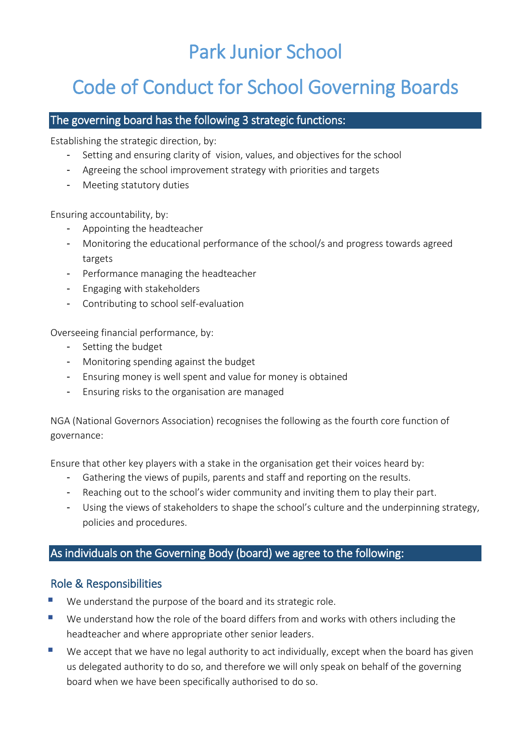# Park Junior School

# Code of Conduct for School Governing Boards

#### The governing board has the following 3 strategic functions:

Establishing the strategic direction, by:

- Setting and ensuring clarity of vision, values, and objectives for the school
- Agreeing the school improvement strategy with priorities and targets
- Meeting statutory duties

Ensuring accountability, by:

- Appointing the headteacher
- Monitoring the educational performance of the school/s and progress towards agreed targets
- Performance managing the headteacher
- Engaging with stakeholders
- Contributing to school self-evaluation

Overseeing financial performance, by:

- Setting the budget
- Monitoring spending against the budget
- Ensuring money is well spent and value for money is obtained
- Ensuring risks to the organisation are managed

NGA (National Governors Association) recognises the following as the fourth core function of governance:

Ensure that other key players with a stake in the organisation get their voices heard by:

- Gathering the views of pupils, parents and staff and reporting on the results.
- Reaching out to the school's wider community and inviting them to play their part.
- Using the views of stakeholders to shape the school's culture and the underpinning strategy, policies and procedures.

#### As individuals on the Governing Body (board) we agree to the following:

#### Role & Responsibilities

- We understand the purpose of the board and its strategic role.
- We understand how the role of the board differs from and works with others including the headteacher and where appropriate other senior leaders.
- We accept that we have no legal authority to act individually, except when the board has given us delegated authority to do so, and therefore we will only speak on behalf of the governing board when we have been specifically authorised to do so.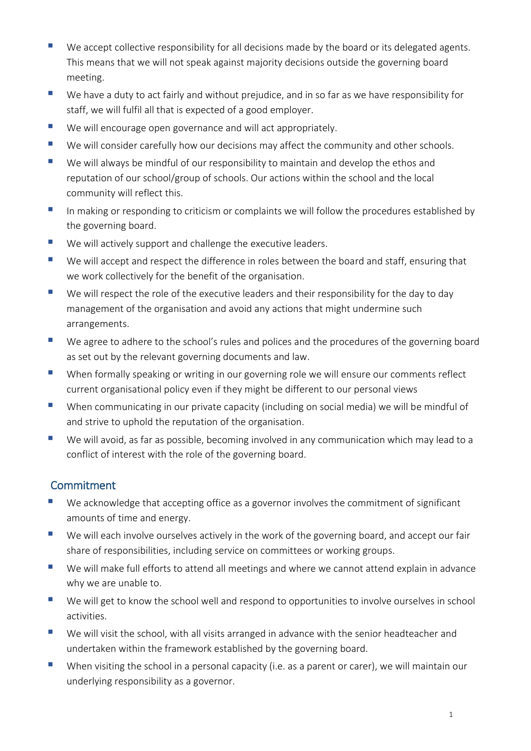- We accept collective responsibility for all decisions made by the board or its delegated agents. This means that we will not speak against majority decisions outside the governing board meeting.
- We have a duty to act fairly and without prejudice, and in so far as we have responsibility for staff, we will fulfil all that is expected of a good employer.
- We will encourage open governance and will act appropriately.
- We will consider carefully how our decisions may affect the community and other schools.
- We will always be mindful of our responsibility to maintain and develop the ethos and reputation of our school/group of schools. Our actions within the school and the local community will reflect this.
- In making or responding to criticism or complaints we will follow the procedures established by the governing board.
- We will actively support and challenge the executive leaders.
- We will accept and respect the difference in roles between the board and staff, ensuring that we work collectively for the benefit of the organisation.
- We will respect the role of the executive leaders and their responsibility for the day to day management of the organisation and avoid any actions that might undermine such arrangements.
- We agree to adhere to the school's rules and polices and the procedures of the governing board as set out by the relevant governing documents and law.
- When formally speaking or writing in our governing role we will ensure our comments reflect current organisational policy even if they might be different to our personal views
- When communicating in our private capacity (including on social media) we will be mindful of and strive to uphold the reputation of the organisation.
- We will avoid, as far as possible, becoming involved in any communication which may lead to a conflict of interest with the role of the governing board.

# Commitment

- We acknowledge that accepting office as a governor involves the commitment of significant amounts of time and energy.
- We will each involve ourselves actively in the work of the governing board, and accept our fair share of responsibilities, including service on committees or working groups.
- We will make full efforts to attend all meetings and where we cannot attend explain in advance why we are unable to.
- We will get to know the school well and respond to opportunities to involve ourselves in school activities.
- We will visit the school, with all visits arranged in advance with the senior headteacher and undertaken within the framework established by the governing board.
- When visiting the school in a personal capacity (i.e. as a parent or carer), we will maintain our underlying responsibility as a governor.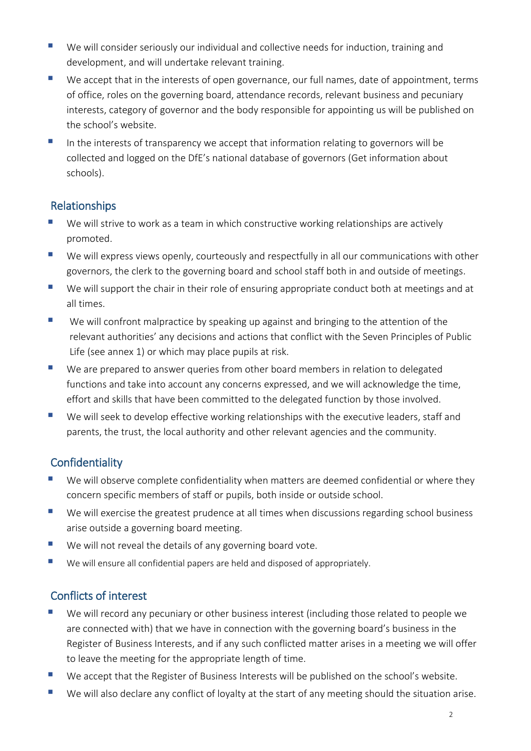- We will consider seriously our individual and collective needs for induction, training and development, and will undertake relevant training.
- We accept that in the interests of open governance, our full names, date of appointment, terms of office, roles on the governing board, attendance records, relevant business and pecuniary interests, category of governor and the body responsible for appointing us will be published on the school's website.
- In the interests of transparency we accept that information relating to governors will be collected and logged on the DfE's national database of governors (Get information about schools).

# Relationships

- We will strive to work as a team in which constructive working relationships are actively promoted.
- We will express views openly, courteously and respectfully in all our communications with other governors, the clerk to the governing board and school staff both in and outside of meetings.
- We will support the chair in their role of ensuring appropriate conduct both at meetings and at all times.
- We will confront malpractice by speaking up against and bringing to the attention of the relevant authorities' any decisions and actions that conflict with the Seven Principles of Public Life (see annex 1) or which may place pupils at risk.
- We are prepared to answer queries from other board members in relation to delegated functions and take into account any concerns expressed, and we will acknowledge the time, effort and skills that have been committed to the delegated function by those involved.
- We will seek to develop effective working relationships with the executive leaders, staff and parents, the trust, the local authority and other relevant agencies and the community.

# **Confidentiality**

- We will observe complete confidentiality when matters are deemed confidential or where they concern specific members of staff or pupils, both inside or outside school.
- We will exercise the greatest prudence at all times when discussions regarding school business arise outside a governing board meeting.
- We will not reveal the details of any governing board vote.
- We will ensure all confidential papers are held and disposed of appropriately.

# Conflicts of interest

- We will record any pecuniary or other business interest (including those related to people we are connected with) that we have in connection with the governing board's business in the Register of Business Interests, and if any such conflicted matter arises in a meeting we will offer to leave the meeting for the appropriate length of time.
- We accept that the Register of Business Interests will be published on the school's website.
- We will also declare any conflict of loyalty at the start of any meeting should the situation arise.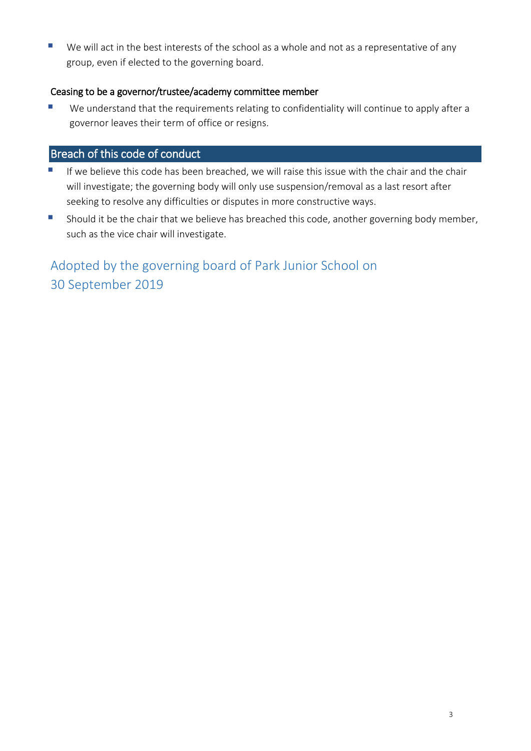We will act in the best interests of the school as a whole and not as a representative of any group, even if elected to the governing board.

#### Ceasing to be a governor/trustee/academy committee member

 We understand that the requirements relating to confidentiality will continue to apply after a governor leaves their term of office or resigns.

### Breach of this code of conduct

- If we believe this code has been breached, we will raise this issue with the chair and the chair will investigate; the governing body will only use suspension/removal as a last resort after seeking to resolve any difficulties or disputes in more constructive ways.
- **Should it be the chair that we believe has breached this code, another governing body member,** such as the vice chair will investigate.

Adopted by the governing board of Park Junior School on 30 September 2019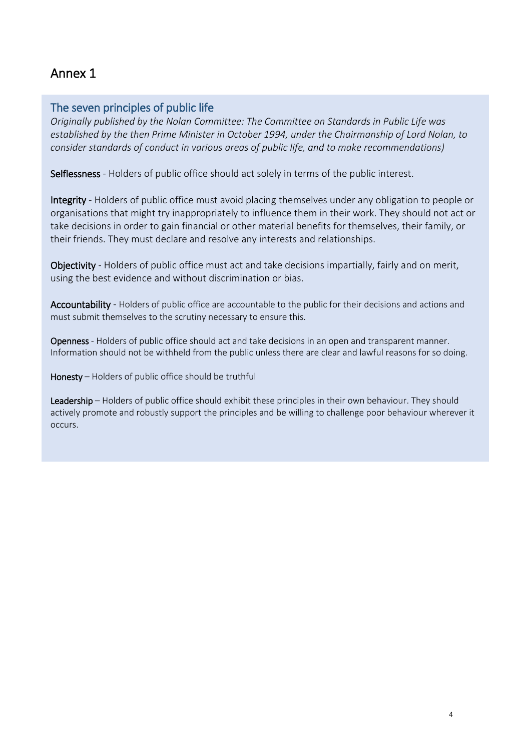# Annex 1

### The seven principles of public life

*Originally published by the Nolan Committee: The Committee on Standards in Public Life was established by the then Prime Minister in October 1994, under the Chairmanship of Lord Nolan, to consider standards of conduct in various areas of public life, and to make recommendations)*

Selflessness - Holders of public office should act solely in terms of the public interest.

Integrity - Holders of public office must avoid placing themselves under any obligation to people or organisations that might try inappropriately to influence them in their work. They should not act or take decisions in order to gain financial or other material benefits for themselves, their family, or their friends. They must declare and resolve any interests and relationships.

Objectivity - Holders of public office must act and take decisions impartially, fairly and on merit, using the best evidence and without discrimination or bias.

Accountability - Holders of public office are accountable to the public for their decisions and actions and must submit themselves to the scrutiny necessary to ensure this.

Openness - Holders of public office should act and take decisions in an open and transparent manner. Information should not be withheld from the public unless there are clear and lawful reasons for so doing.

Honesty – Holders of public office should be truthful

Leadership – Holders of public office should exhibit these principles in their own behaviour. They should actively promote and robustly support the principles and be willing to challenge poor behaviour wherever it occurs.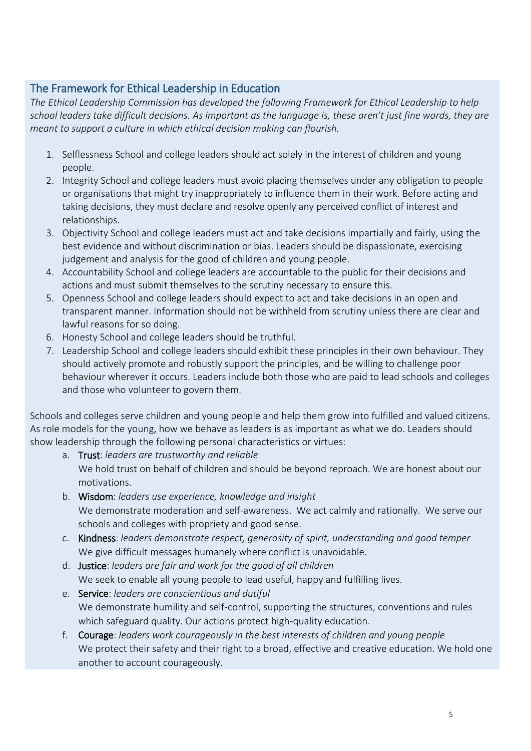### The Framework for Ethical Leadership in Education

*The Ethical Leadership Commission has developed the following Framework for Ethical Leadership to help school leaders take difficult decisions. As important as the language is, these aren't just fine words, they are meant to support a culture in which ethical decision making can flourish.* 

- 1. Selflessness School and college leaders should act solely in the interest of children and young people.
- 2. Integrity School and college leaders must avoid placing themselves under any obligation to people or organisations that might try inappropriately to influence them in their work. Before acting and taking decisions, they must declare and resolve openly any perceived conflict of interest and relationships.
- 3. Objectivity School and college leaders must act and take decisions impartially and fairly, using the best evidence and without discrimination or bias. Leaders should be dispassionate, exercising judgement and analysis for the good of children and young people.
- 4. Accountability School and college leaders are accountable to the public for their decisions and actions and must submit themselves to the scrutiny necessary to ensure this.
- 5. Openness School and college leaders should expect to act and take decisions in an open and transparent manner. Information should not be withheld from scrutiny unless there are clear and lawful reasons for so doing.
- 6. Honesty School and college leaders should be truthful.
- 7. Leadership School and college leaders should exhibit these principles in their own behaviour. They should actively promote and robustly support the principles, and be willing to challenge poor behaviour wherever it occurs. Leaders include both those who are paid to lead schools and colleges and those who volunteer to govern them.

Schools and colleges serve children and young people and help them grow into fulfilled and valued citizens. As role models for the young, how we behave as leaders is as important as what we do. Leaders should show leadership through the following personal characteristics or virtues:

- a. Trust: *leaders are trustworthy and reliable*  We hold trust on behalf of children and should be beyond reproach. We are honest about our motivations.
- b. Wisdom: *leaders use experience, knowledge and insight*  We demonstrate moderation and self-awareness. We act calmly and rationally. We serve our schools and colleges with propriety and good sense.
- c. Kindness: *leaders demonstrate respect, generosity of spirit, understanding and good temper*  We give difficult messages humanely where conflict is unavoidable.
- d. Justice: *leaders are fair and work for the good of all children*  We seek to enable all young people to lead useful, happy and fulfilling lives.
- e. Service: *leaders are conscientious and dutiful*  We demonstrate humility and self-control, supporting the structures, conventions and rules which safeguard quality. Our actions protect high-quality education.
- f. Courage: *leaders work courageously in the best interests of children and young people*  We protect their safety and their right to a broad, effective and creative education. We hold one another to account courageously.